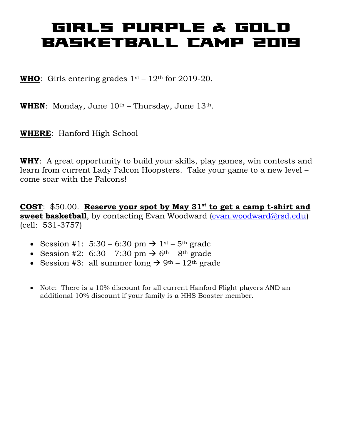## GIRLS PURPLE & GOLD BASKETBALL CAMP 2019

**WHO**: Girls entering grades  $1^{st} - 12^{th}$  for 2019-20.

**WHEN**: Monday, June  $10^{th}$  – Thursday, June  $13^{th}$ .

**WHERE**: Hanford High School

**WHY**: A great opportunity to build your skills, play games, win contests and learn from current Lady Falcon Hoopsters. Take your game to a new level – come soar with the Falcons!

**COST**: \$50.00. **Reserve your spot by May 31st to get a camp t-shirt and sweet basketball**, by contacting Evan Woodward [\(evan.woodward@rsd.edu\)](mailto:evan.woodward@rsd.edu) (cell: 531-3757)

- Session #1:  $5:30 6:30$  pm  $\rightarrow 1^{st} 5^{th}$  grade
- Session #2:  $6:30 7:30 \text{ pm} \rightarrow 6^{\text{th}} 8^{\text{th}} \text{ grade}$
- Session #3: all summer long  $\rightarrow$  9<sup>th</sup> 12<sup>th</sup> grade
- Note: There is a 10% discount for all current Hanford Flight players AND an additional 10% discount if your family is a HHS Booster member.